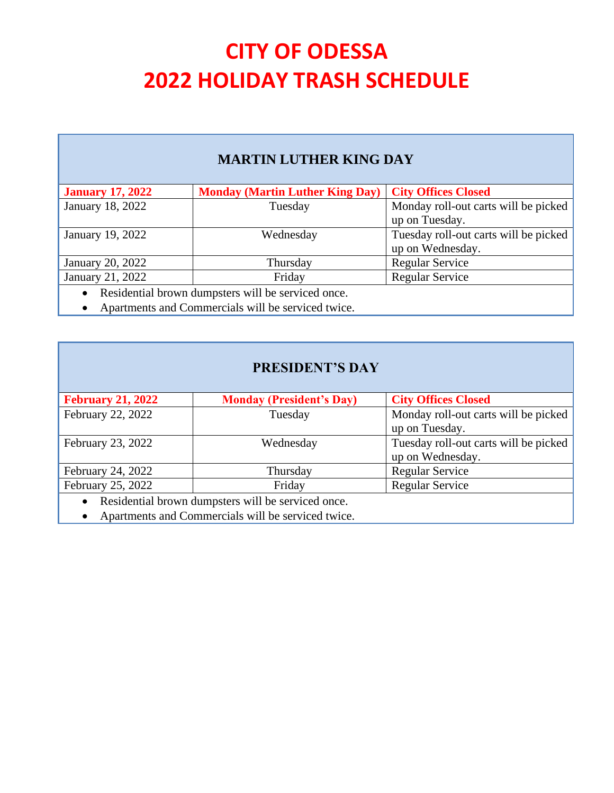### **MARTIN LUTHER KING DAY**

| <b>January 17, 2022</b>                            | Monday (Martin Luther King Day)   City Offices Closed |                                       |
|----------------------------------------------------|-------------------------------------------------------|---------------------------------------|
| January 18, 2022                                   | Tuesday                                               | Monday roll-out carts will be picked  |
|                                                    |                                                       | up on Tuesday.                        |
| January 19, 2022                                   | Wednesday                                             | Tuesday roll-out carts will be picked |
|                                                    |                                                       | up on Wednesday.                      |
| January 20, 2022                                   | Thursday                                              | <b>Regular Service</b>                |
| January 21, 2022                                   | Friday                                                | <b>Regular Service</b>                |
| Residential brown dumpsters will be serviced once. |                                                       |                                       |

• Apartments and Commercials will be serviced twice.

#### **PRESIDENT'S DAY**

| <b>February 21, 2022</b> | <b>Monday (President's Day)</b>                            | <b>City Offices Closed</b>            |
|--------------------------|------------------------------------------------------------|---------------------------------------|
| February 22, 2022        | Tuesday                                                    | Monday roll-out carts will be picked  |
|                          |                                                            | up on Tuesday.                        |
| February 23, 2022        | Wednesday                                                  | Tuesday roll-out carts will be picked |
|                          |                                                            | up on Wednesday.                      |
| February 24, 2022        | Thursday                                                   | Regular Service                       |
| February 25, 2022        | Friday                                                     | <b>Regular Service</b>                |
| $T = 11$                 | $\cdot$ 11.1<br><b>Contract Contract Contract Contract</b> |                                       |

• Residential brown dumpsters will be serviced once.

• Apartments and Commercials will be serviced twice.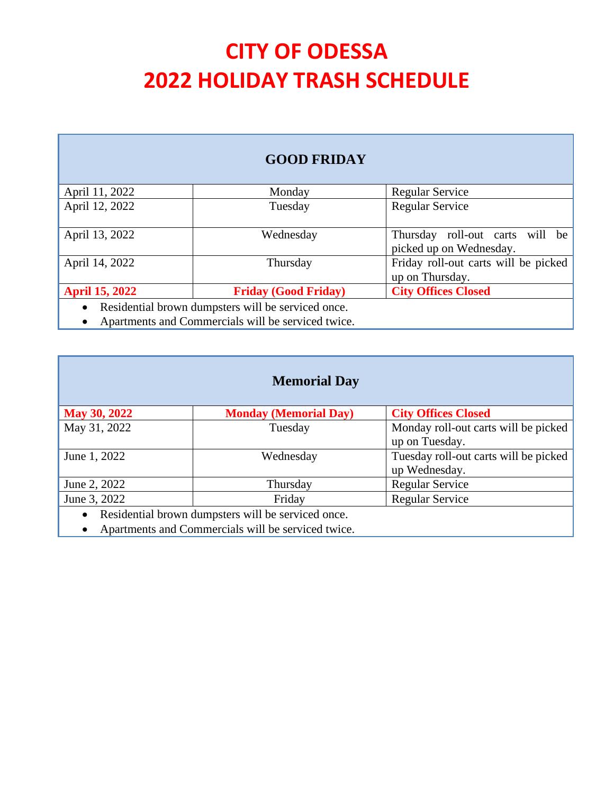#### **GOOD FRIDAY**

| April 11, 2022        | Monday                                             | Regular Service                      |
|-----------------------|----------------------------------------------------|--------------------------------------|
| April 12, 2022        | Tuesday                                            | <b>Regular Service</b>               |
|                       |                                                    |                                      |
| April 13, 2022        | Wednesday                                          | Thursday roll-out carts will be      |
|                       |                                                    | picked up on Wednesday.              |
| April 14, 2022        | Thursday                                           | Friday roll-out carts will be picked |
|                       |                                                    | up on Thursday.                      |
| <b>April 15, 2022</b> | <b>Friday (Good Friday)</b>                        | <b>City Offices Closed</b>           |
|                       | Residential brown dumpsters will be serviced once. |                                      |

• Apartments and Commercials will be serviced twice.

| <b>May 30, 2022</b>                                             | <b>Monday (Memorial Day)</b> | <b>City Offices Closed</b>            |
|-----------------------------------------------------------------|------------------------------|---------------------------------------|
| May 31, 2022                                                    | Tuesday                      | Monday roll-out carts will be picked  |
|                                                                 |                              | up on Tuesday.                        |
| June 1, 2022                                                    | Wednesday                    | Tuesday roll-out carts will be picked |
|                                                                 |                              | up Wednesday.                         |
| June 2, 2022                                                    | Thursday                     | <b>Regular Service</b>                |
| June 3, 2022                                                    | Friday                       | <b>Regular Service</b>                |
| Residential brown dumpsters will be serviced once.<br>$\bullet$ |                              |                                       |

• Apartments and Commercials will be serviced twice.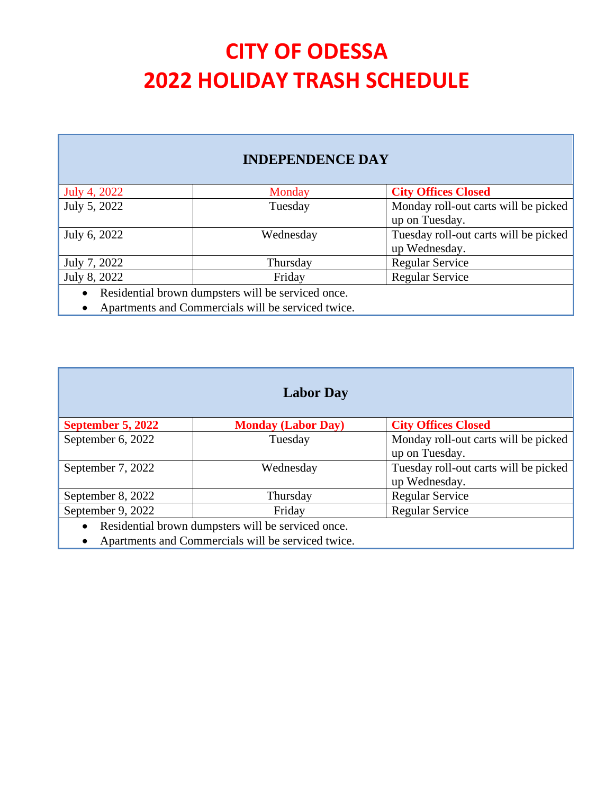### **INDEPENDENCE DAY**

| July 4, 2022 | Monday                                             | <b>City Offices Closed</b>            |
|--------------|----------------------------------------------------|---------------------------------------|
| July 5, 2022 | Tuesday                                            | Monday roll-out carts will be picked  |
|              |                                                    | up on Tuesday.                        |
| July 6, 2022 | Wednesday                                          | Tuesday roll-out carts will be picked |
|              |                                                    | up Wednesday.                         |
| July 7, 2022 | Thursday                                           | <b>Regular Service</b>                |
| July 8, 2022 | Friday                                             | <b>Regular Service</b>                |
|              | Residential brown dumpsters will be serviced once. |                                       |

• Apartments and Commercials will be serviced twice.

| <b>Labor Day</b>  |                                                                                                                                                                      |                                       |
|-------------------|----------------------------------------------------------------------------------------------------------------------------------------------------------------------|---------------------------------------|
| September 5, 2022 | <b>Monday (Labor Day)</b>                                                                                                                                            | <b>City Offices Closed</b>            |
| September 6, 2022 | Tuesday                                                                                                                                                              | Monday roll-out carts will be picked  |
|                   |                                                                                                                                                                      | up on Tuesday.                        |
| September 7, 2022 | Wednesday                                                                                                                                                            | Tuesday roll-out carts will be picked |
|                   |                                                                                                                                                                      | up Wednesday.                         |
| September 8, 2022 | Thursday                                                                                                                                                             | <b>Regular Service</b>                |
| September 9, 2022 | Friday                                                                                                                                                               | <b>Regular Service</b>                |
|                   | Residential brown dumpsters will be serviced once.<br>restauration de la construction de la construction de la construction de la construction de la construction de |                                       |

• Apartments and Commercials will be serviced twice.